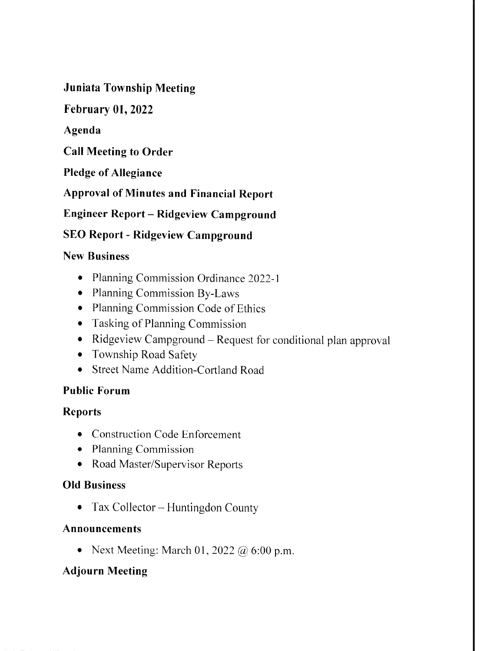Juniata Township Meeting

February 01,2022

Agenda

Call Meeting to Order

Pledge of Allegiance

Approval of Minutes and Financial Report

Engineer Report - Ridgeview Campground

# SEO Report - Ridgeview Campground

### New Business

- o Planning Commission Ordinance 2022-1
- o Planning Commission By-Laws
- Planning Commission Code of Ethics
- o Tasking of Planning Commission
- Ridgeview Campground Request for conditional plan approval
- o Township Road Safety
- o Street Name Addition-Cortland Road

### Public Forum

### Reports

- Construction Code Enforcement
- o Planning Commission
- o Road Master/Supervisor Reports

### OId Business

• Tax Collector – Huntingdon County

### Announcements

• Next Meeting: March 01, 2022 @ 6:00 p.m.

# Adjourn Meeting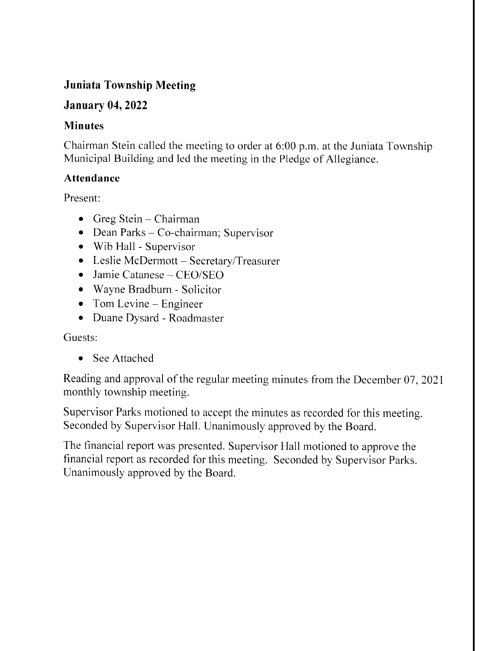# Juniata Township Meeting

# January 04,2022

## Minutes

Chairman Stein called the meeting to order at 6:00 p.m. at the Juniata Township Municipal Building and led the meeting in the Pledge of Allegiance.

## Attendance

Present:

- $\bullet$  Greg Stein Chairman
- $\bullet$  Dean Parks Co-chairman; Supervisor
- Wib Hall Supervisor
- Leslie McDermott Secretary/Treasurer
- o Jamie Catanese CEO/SEO
- o Wayne Bradburn Solicitor
- $\bullet$  Tom Levine Engineer
- o Duane Dysard Roadmaster

Guests:

• See Attached

Reading and approval of the regular meeting minutes from the December 07, 2O2l monthly township meeting.

Supervisor Parks motioned to accept the minutes as recorded for this meeting. Seconded by Supervisor Hall. Unanimously approved by the Board.

The financial report was presented. Supervisor Hall motioned to approve the financial report as recorded for this meeting. Seconded by Supervisor Parks. Unanimously approved by the Board.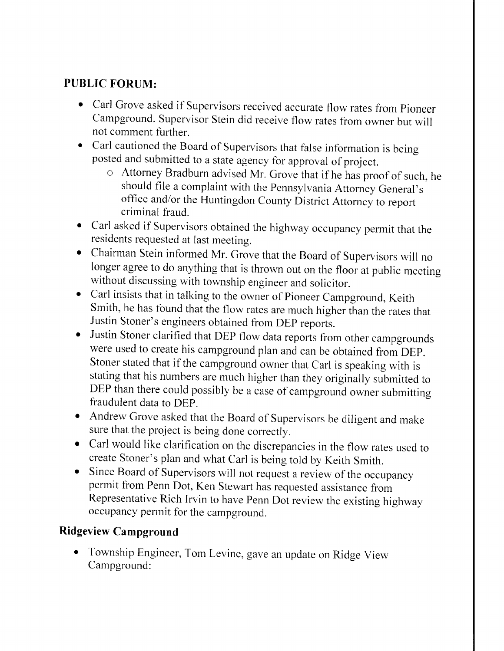# PUBLIC FORUM:

- Carl Grove asked if Supervisors received accurate flow rates from Pioneer Campground. Supervisor Stein did receive flow rates from owner but will not comment further.
- Carl cautioned the Board of Supervisors that false information is being posted and submitted to a state agency for approval of project.
	- o Attorney Bradburn advised Mr. Grove that if he has proof of such, he should file a complaint with the Pennsylvania Attorney General's office and/or the Huntingdon County District Attorney to report criminal fraud.
- o Carl asked if Supervisors obtained the highway occupancy permit that the residents requested at last meeting.
- o Chairman Stein informed Mr. Grove that the Board of Supervisors will no longer agree to do anything that is thrown out on the floor at public meeting without discussing with township engineer and solicitor.
- o Carl insists that in talking to the owner of Pioneer Campground, Keith Smith, he has found that the flow rates are much higher than the rates that Justin Stoner's engineers obtained from DEp reports.
- Justin Stoner clarified that DEP flow data reports from other campgrounds were used to create his campground plan and can be obtained from-DEp. Stoner stated that if the campground owner that Carl is speaking with is stating that his numbers are much higher than they originally submitted to DEP than there could possibly be a case of campground owner submitting fraudulent data to DEp.
- o Andrew Grove asked that the Board of Supervisors be diligent and make sure that the project is being done corectly.
- o Carl would like clarification on the discrepancies in the flow rates used to create Stoner's plan and what carl is being told by Keith Smith.
- Since Board of Supervisors will not request a review of the occupancy permit from Penn Dot, Ken Stewart has requested assistance from Representative Rich Irvin to have Penn Dot review the existing highway occupancy permit for the campground.

# Ridgeview Campground

Township Engineer, Tom Levine, gave an update on Ridge View Campground: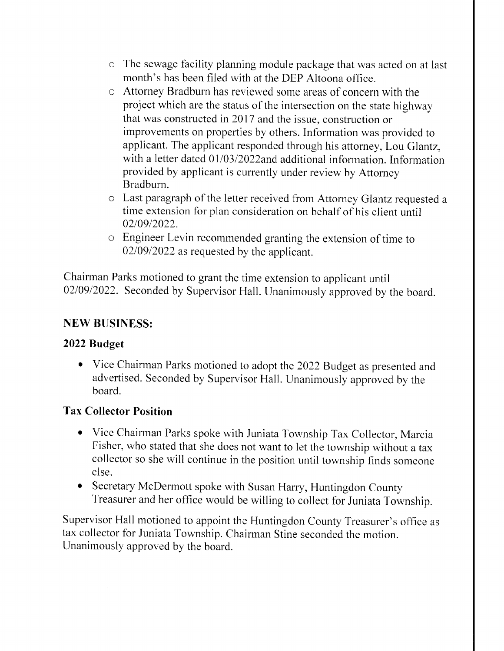- o The sewage facility planning module package that was acted on at last month's has been filed with at the DEP Altoona office.
- o Attorney Bradburn has reviewed some areas of concern with the project which are the status of the intersection on the state highway that was constructed in 2017 and the issue, construction or improvements on properties by others. Information was provided to applicant. The applicant responded through his attorney, Lou Glantz, with a letter dated 01/03/2022and additional information. Information provided by applicant is currently under review by Attorney Bradburn.
- o Last paragraph of the letter received from Attorney Glantz requested <sup>a</sup> time extension for plan consideration on behalf of his client until 02/09/2022.
- o Engineer Levin recommended granting the extension of time to 02/09/2022 as requested by the applicant.

Chairman Parks motioned to grant the time extension to applicant until 02/09/2022. Seconded by Supervisor Hall. Unanimously approved by the board.

### NEW BUSINESS:

### 2022 Budget

o Vice Chairman Parks motioned to adopt the 2022 Budget as presented and advertised. Seconded by Supervisor Hall. Unanimously approved by the board.

### Tax Collector Position

- o Vice Chairman Parks spoke with Juniata Township Tax Collector, Marcia Fisher, who stated that she does not want to let the township without a tax collector so she will continue in the position until township finds someone else.
- Secretary McDermott spoke with Susan Harry, Huntingdon County Treasurer and her office would be willing to collect for Juniata Township.

Supervisor Hall motioned to appoint the Huntingdon County Treasurer's office as tax collector for Juniata Township. Chairman Stine seconded the motion. Unanimously approved by the board.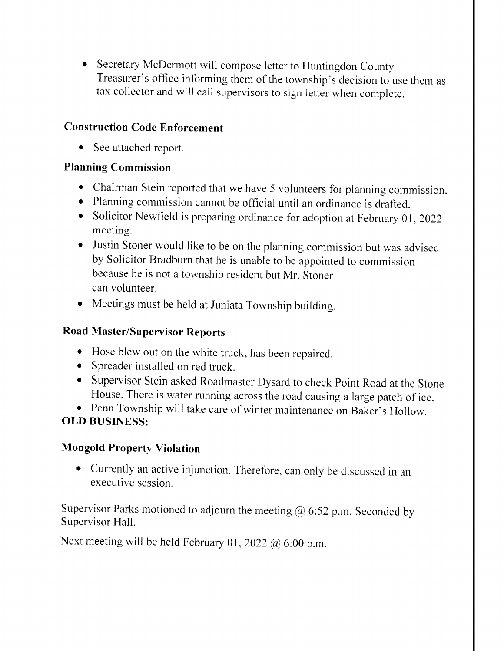o Secretary McDermott will compose letter to Huntingdon County Treasurer's office informing them of the township's decision to use them as tax collector and will call supervisors to sign letter when complete.

## Construction Code Enforcement

• See attached report.

# Planning Commission

- Chairman Stein reported that we have 5 volunteers for planning commission.
- o Planning commission cannot be official until an ordinance is drafted.
- Solicitor Newfield is preparing ordinance for adoption at February 01, 2022 meeting.
- o Justin Stoner would like to be on the planning commission but was advised by Solicitor Bradburn that he is unable to be appointed to commission because he is not a township resident but Mr. Stoner can volunteer.
- o Meetings must be held at Juniata Township building.

# Road Master/Supervisor Reports

- o Hose blew out on the white truck, has been repaired.
- . Spreader installed on red truck.
- o Supervisor Stein asked Roadmaster Dysard to check Point Road at the Stone House. There is water running across the road causing a large patch of ice.
- o Penn Township will take care of winter maintenance on Baker's Hollow.

# OLD BUSINESS:

# Mongold Property Violation

o Currently an active injunction. Therefore, can only be discussed in an executive session.

Supervisor Parks motioned to adjourn the meeting  $\omega$  6:52 p.m. Seconded by Supervisor Hall.

Next meeting will be held February 01, 2022  $@$  6:00 p.m.